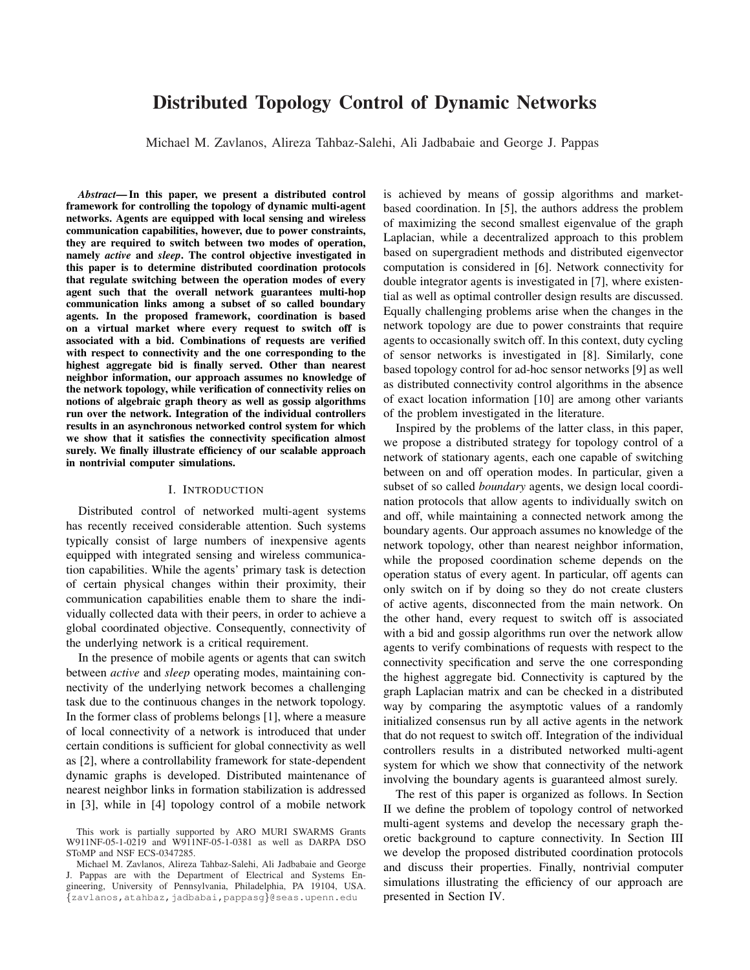# Distributed Topology Control of Dynamic Networks

Michael M. Zavlanos, Alireza Tahbaz-Salehi, Ali Jadbabaie and George J. Pappas

*Abstract*— In this paper, we present a distributed control framework for controlling the topology of dynamic multi-agent networks. Agents are equipped with local sensing and wireless communication capabilities, however, due to power constraints, they are required to switch between two modes of operation, namely *active* and *sleep*. The control objective investigated in this paper is to determine distributed coordination protocols that regulate switching between the operation modes of every agent such that the overall network guarantees multi-hop communication links among a subset of so called boundary agents. In the proposed framework, coordination is based on a virtual market where every request to switch off is associated with a bid. Combinations of requests are verified with respect to connectivity and the one corresponding to the highest aggregate bid is finally served. Other than nearest neighbor information, our approach assumes no knowledge of the network topology, while verification of connectivity relies on notions of algebraic graph theory as well as gossip algorithms run over the network. Integration of the individual controllers results in an asynchronous networked control system for which we show that it satisfies the connectivity specification almost surely. We finally illustrate efficiency of our scalable approach in nontrivial computer simulations.

### I. INTRODUCTION

Distributed control of networked multi-agent systems has recently received considerable attention. Such systems typically consist of large numbers of inexpensive agents equipped with integrated sensing and wireless communication capabilities. While the agents' primary task is detection of certain physical changes within their proximity, their communication capabilities enable them to share the individually collected data with their peers, in order to achieve a global coordinated objective. Consequently, connectivity of the underlying network is a critical requirement.

In the presence of mobile agents or agents that can switch between *active* and *sleep* operating modes, maintaining connectivity of the underlying network becomes a challenging task due to the continuous changes in the network topology. In the former class of problems belongs [1], where a measure of local connectivity of a network is introduced that under certain conditions is sufficient for global connectivity as well as [2], where a controllability framework for state-dependent dynamic graphs is developed. Distributed maintenance of nearest neighbor links in formation stabilization is addressed in [3], while in [4] topology control of a mobile network

is achieved by means of gossip algorithms and marketbased coordination. In [5], the authors address the problem of maximizing the second smallest eigenvalue of the graph Laplacian, while a decentralized approach to this problem based on supergradient methods and distributed eigenvector computation is considered in [6]. Network connectivity for double integrator agents is investigated in [7], where existential as well as optimal controller design results are discussed. Equally challenging problems arise when the changes in the network topology are due to power constraints that require agents to occasionally switch off. In this context, duty cycling of sensor networks is investigated in [8]. Similarly, cone based topology control for ad-hoc sensor networks [9] as well as distributed connectivity control algorithms in the absence of exact location information [10] are among other variants of the problem investigated in the literature.

Inspired by the problems of the latter class, in this paper, we propose a distributed strategy for topology control of a network of stationary agents, each one capable of switching between on and off operation modes. In particular, given a subset of so called *boundary* agents, we design local coordination protocols that allow agents to individually switch on and off, while maintaining a connected network among the boundary agents. Our approach assumes no knowledge of the network topology, other than nearest neighbor information, while the proposed coordination scheme depends on the operation status of every agent. In particular, off agents can only switch on if by doing so they do not create clusters of active agents, disconnected from the main network. On the other hand, every request to switch off is associated with a bid and gossip algorithms run over the network allow agents to verify combinations of requests with respect to the connectivity specification and serve the one corresponding the highest aggregate bid. Connectivity is captured by the graph Laplacian matrix and can be checked in a distributed way by comparing the asymptotic values of a randomly initialized consensus run by all active agents in the network that do not request to switch off. Integration of the individual controllers results in a distributed networked multi-agent system for which we show that connectivity of the network involving the boundary agents is guaranteed almost surely.

The rest of this paper is organized as follows. In Section II we define the problem of topology control of networked multi-agent systems and develop the necessary graph theoretic background to capture connectivity. In Section III we develop the proposed distributed coordination protocols and discuss their properties. Finally, nontrivial computer simulations illustrating the efficiency of our approach are presented in Section IV.

This work is partially supported by ARO MURI SWARMS Grants W911NF-05-1-0219 and W911NF-05-1-0381 as well as DARPA DSO SToMP and NSF ECS-0347285.

Michael M. Zavlanos, Alireza Tahbaz-Salehi, Ali Jadbabaie and George J. Pappas are with the Department of Electrical and Systems Engineering, University of Pennsylvania, Philadelphia, PA 19104, USA. {zavlanos,atahbaz,jadbabai,pappasg}@seas.upenn.edu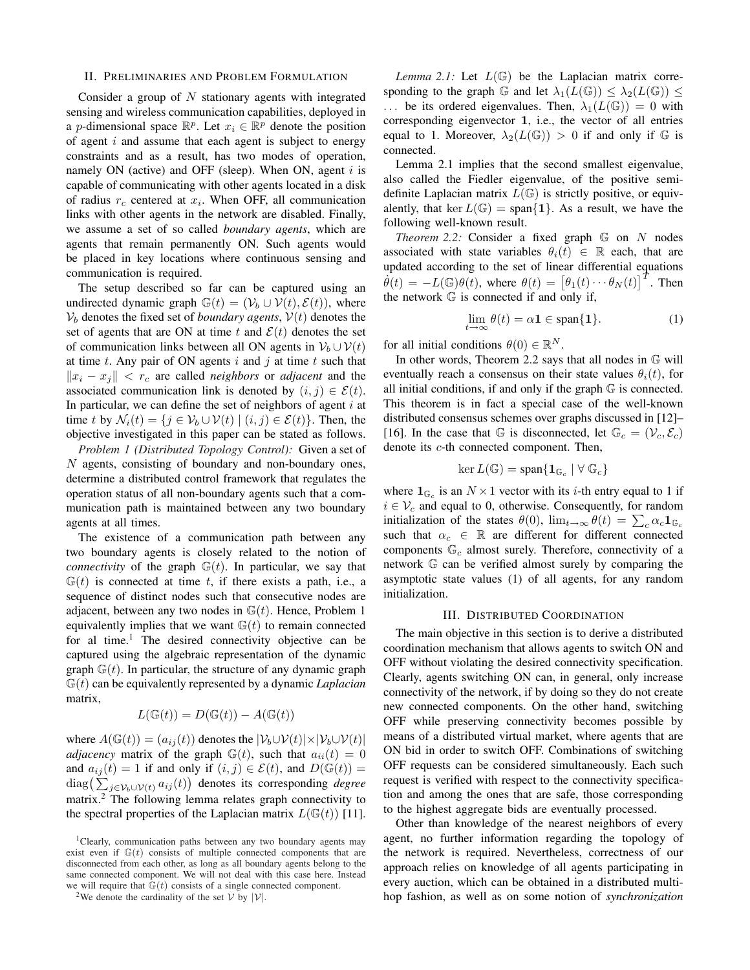#### II. PRELIMINARIES AND PROBLEM FORMULATION

Consider a group of  $N$  stationary agents with integrated sensing and wireless communication capabilities, deployed in a *p*-dimensional space  $\mathbb{R}^p$ . Let  $x_i \in \mathbb{R}^p$  denote the position of agent  $i$  and assume that each agent is subject to energy constraints and as a result, has two modes of operation, namely ON (active) and OFF (sleep). When ON, agent  $i$  is capable of communicating with other agents located in a disk of radius  $r_c$  centered at  $x_i$ . When OFF, all communication links with other agents in the network are disabled. Finally, we assume a set of so called *boundary agents*, which are agents that remain permanently ON. Such agents would be placed in key locations where continuous sensing and communication is required.

The setup described so far can be captured using an undirected dynamic graph  $\mathbb{G}(t) = (\mathcal{V}_b \cup \mathcal{V}(t), \mathcal{E}(t))$ , where  $V_b$  denotes the fixed set of *boundary agents*,  $V(t)$  denotes the set of agents that are ON at time t and  $\mathcal{E}(t)$  denotes the set of communication links between all ON agents in  $V_b \cup V(t)$ at time t. Any pair of ON agents i and j at time t such that  $\|x_i - x_j\|$  <  $r_c$  are called *neighbors* or *adjacent* and the associated communication link is denoted by  $(i, j) \in \mathcal{E}(t)$ . In particular, we can define the set of neighbors of agent  $i$  at time t by  $\mathcal{N}_i(t) = \{i \in \mathcal{V}_b \cup \mathcal{V}(t) \mid (i, i) \in \mathcal{E}(t)\}\)$ . Then, the objective investigated in this paper can be stated as follows.

*Problem 1 (Distributed Topology Control):* Given a set of N agents, consisting of boundary and non-boundary ones, determine a distributed control framework that regulates the operation status of all non-boundary agents such that a communication path is maintained between any two boundary agents at all times.

The existence of a communication path between any two boundary agents is closely related to the notion of *connectivity* of the graph  $\mathbb{G}(t)$ . In particular, we say that  $\mathbb{G}(t)$  is connected at time t, if there exists a path, i.e., a sequence of distinct nodes such that consecutive nodes are adjacent, between any two nodes in  $\mathbb{G}(t)$ . Hence, Problem 1 equivalently implies that we want  $\mathbb{G}(t)$  to remain connected for al time.<sup>1</sup> The desired connectivity objective can be captured using the algebraic representation of the dynamic graph  $\mathbb{G}(t)$ . In particular, the structure of any dynamic graph G(t) can be equivalently represented by a dynamic *Laplacian* matrix,

$$
L(\mathbb{G}(t)) = D(\mathbb{G}(t)) - A(\mathbb{G}(t))
$$

where  $A(\mathbb{G}(t)) = (a_{ij}(t))$  denotes the  $|\mathcal{V}_b \cup \mathcal{V}(t)| \times |\mathcal{V}_b \cup \mathcal{V}(t)|$ *adjacency* matrix of the graph  $\mathbb{G}(t)$ , such that  $a_{ii}(t) = 0$ and  $a_{ij}(t) = 1$  if and only if  $(i, j) \in \mathcal{E}(t)$ , and  $D(\mathbb{G}(t)) =$ and  $a_{ij}(t) = 1$  if and only if  $(i, j) \in \mathcal{E}(t)$ , and  $D(\mathbb{U}(t)) =$ <br>diag( $\sum_{j \in \mathcal{V}_b \cup \mathcal{V}(t)} a_{ij}(t)$ ) denotes its corresponding *degree* matrix.<sup>2</sup> The following lemma relates graph connectivity to the spectral properties of the Laplacian matrix  $L(\mathbb{G}(t))$  [11].

*Lemma 2.1:* Let  $L(\mathbb{G})$  be the Laplacian matrix corresponding to the graph G and let  $\lambda_1(L(\mathbb{G})) \leq \lambda_2(L(\mathbb{G})) \leq$ ... be its ordered eigenvalues. Then,  $\lambda_1(L(\mathbb{G})) = 0$  with corresponding eigenvector 1, i.e., the vector of all entries equal to 1. Moreover,  $\lambda_2(L(\mathbb{G})) > 0$  if and only if  $\mathbb{G}$  is connected.

Lemma 2.1 implies that the second smallest eigenvalue, also called the Fiedler eigenvalue, of the positive semidefinite Laplacian matrix  $L(\mathbb{G})$  is strictly positive, or equivalently, that ker  $L(\mathbb{G}) = \text{span}\{1\}$ . As a result, we have the following well-known result.

*Theorem 2.2:* Consider a fixed graph  $\mathbb{G}$  on N nodes associated with state variables  $\theta_i(t) \in \mathbb{R}$  each, that are updated according to the set of linear differential equations  $θ(t) = -L(Θ)θ(t)$ , where  $θ(t) = [θ<sub>1</sub>(t) ⋯ θ<sub>N</sub>(t)]<sup>T</sup>$ . Then the network G is connected if and only if,

$$
\lim_{t \to \infty} \theta(t) = \alpha \mathbf{1} \in \text{span}\{\mathbf{1}\}. \tag{1}
$$

for all initial conditions  $\theta(0) \in \mathbb{R}^N$ .

In other words, Theorem 2.2 says that all nodes in  $\mathbb G$  will eventually reach a consensus on their state values  $\theta_i(t)$ , for all initial conditions, if and only if the graph G is connected. This theorem is in fact a special case of the well-known distributed consensus schemes over graphs discussed in [12]– [16]. In the case that G is disconnected, let  $\mathbb{G}_c = (\mathcal{V}_c, \mathcal{E}_c)$ denote its c-th connected component. Then,

$$
\ker L(\mathbb{G}) = \text{span}\{\mathbf{1}_{\mathbb{G}_c} \mid \forall \mathbb{G}_c\}
$$

where  $\mathbf{1}_{\mathbb{G}_c}$  is an  $N \times 1$  vector with its *i*-th entry equal to 1 if  $i \in V_c$  and equal to 0, otherwise. Consequently, for random initialization of the states  $\theta(0)$ ,  $\lim_{t\to\infty} \theta(t) = \sum_c \alpha_c \mathbf{1}_{\mathbb{G}_c}$ such that  $\alpha_c \in \mathbb{R}$  are different for different connected components  $\mathbb{G}_c$  almost surely. Therefore, connectivity of a network G can be verified almost surely by comparing the asymptotic state values (1) of all agents, for any random initialization.

#### III. DISTRIBUTED COORDINATION

The main objective in this section is to derive a distributed coordination mechanism that allows agents to switch ON and OFF without violating the desired connectivity specification. Clearly, agents switching ON can, in general, only increase connectivity of the network, if by doing so they do not create new connected components. On the other hand, switching OFF while preserving connectivity becomes possible by means of a distributed virtual market, where agents that are ON bid in order to switch OFF. Combinations of switching OFF requests can be considered simultaneously. Each such request is verified with respect to the connectivity specification and among the ones that are safe, those corresponding to the highest aggregate bids are eventually processed.

Other than knowledge of the nearest neighbors of every agent, no further information regarding the topology of the network is required. Nevertheless, correctness of our approach relies on knowledge of all agents participating in every auction, which can be obtained in a distributed multihop fashion, as well as on some notion of *synchronization*

<sup>1</sup>Clearly, communication paths between any two boundary agents may exist even if  $\mathbb{G}(t)$  consists of multiple connected components that are disconnected from each other, as long as all boundary agents belong to the same connected component. We will not deal with this case here. Instead we will require that  $\mathbb{G}(t)$  consists of a single connected component.

<sup>&</sup>lt;sup>2</sup>We denote the cardinality of the set  $V$  by  $|V|$ .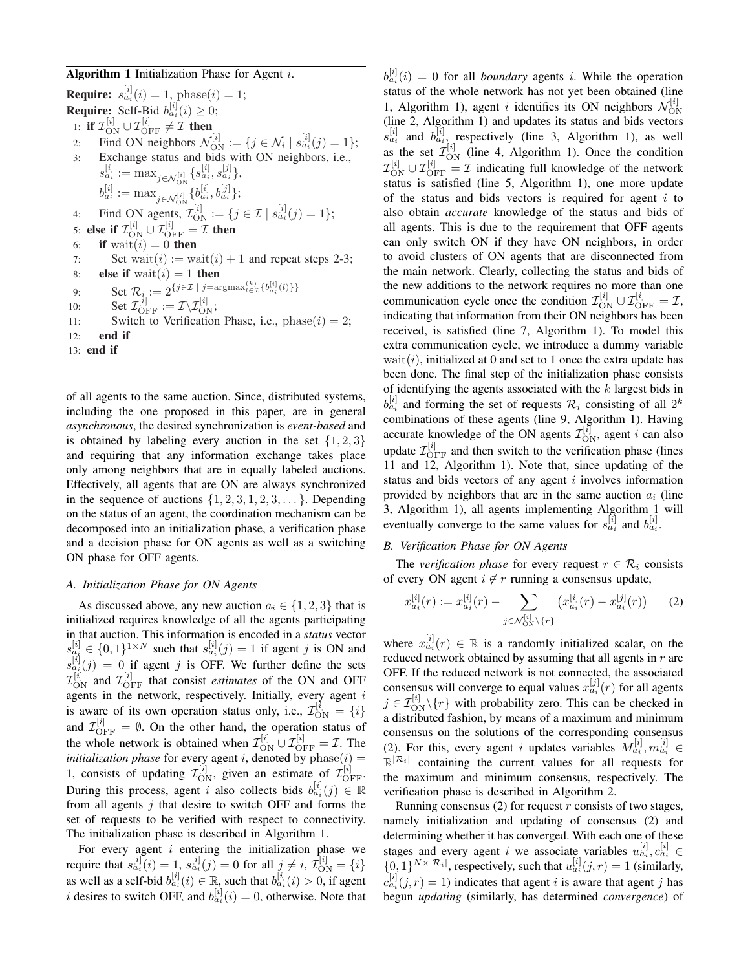Algorithm 1 Initialization Phase for Agent i.

**Require:**  $s_{a_i}^{[i]}(i) = 1$ , phase $(i) = 1$ ; **Require:** Self-Bid  $b_{a_i}^{[i]}(i) \geq 0$ ; 1: if  $\mathcal{I}_{\text{ON}}^{[i]} \cup \mathcal{I}_{\text{OFF}}^{[i]} \neq \mathcal{I}$  then 2: Find ON neighbors  $\mathcal{N}_{\text{ON}}^{[i]} := \{j \in \mathcal{N}_i \mid s_{a_i}^{[i]}(j) = 1\};$ 3: Exchange status and bids with ON neighbors, i.e.,  $s_{a_i}^{[i]} := \max_{j \in \mathcal{N}_{\text{ON}}^{[i]}} \{ s_{a_i}^{[i]}, s_{a_i}^{[j]} \},$  $b_{a_i}^{[i]} := \max_{j \in \mathcal{N}_{\text{ON}}^{[i]}}\{b_{a_i}^{[i]}, b_{a_i}^{[j]}\};$ 4: Find ON agents,  $\mathcal{I}_{\text{ON}}^{[i]} := \{j \in \mathcal{I} \mid s_{a_i}^{[i]}(j) = 1\};$ 5: else if  $\mathcal{I}_{\text{ON}}^{[i]} \cup \mathcal{I}_{\text{OFF}}^{[i]} = \mathcal{I}$  then 6: if wait $(i) = 0$  then 7: Set wait(i) := wait(i) + 1 and repeat steps 2-3; 8: **else if** wait $(i) = 1$  then 9: Set  $\mathcal{R}_{i} := 2^{\{j \in \mathcal{I} \mid j = \argmax_{l \in \mathcal{I}}^{\{k\}}\{b_{a_i}^{[i]}(l)\}\}}$ 10: Set  $\mathcal{I}_{\text{OFF}}^{[i]} := \mathcal{I} \setminus \mathcal{I}_{\text{ON}}^{[i]}$ ; 11: Switch to Verification Phase, i.e.,  $phase(i) = 2$ ; 12: end if 13: end if

of all agents to the same auction. Since, distributed systems, including the one proposed in this paper, are in general *asynchronous*, the desired synchronization is *event-based* and is obtained by labeling every auction in the set  $\{1, 2, 3\}$ and requiring that any information exchange takes place only among neighbors that are in equally labeled auctions. Effectively, all agents that are ON are always synchronized in the sequence of auctions  $\{1, 2, 3, 1, 2, 3, \dots\}$ . Depending on the status of an agent, the coordination mechanism can be decomposed into an initialization phase, a verification phase and a decision phase for ON agents as well as a switching ON phase for OFF agents.

#### *A. Initialization Phase for ON Agents*

As discussed above, any new auction  $a_i \in \{1, 2, 3\}$  that is initialized requires knowledge of all the agents participating in that auction. This information is encoded in a *status* vector  $s_{a_i}^{[i]} \in \{0,1\}^{1 \times N}$  such that  $s_{a_i}^{[i]}(j) = 1$  if agent j is ON and  $s_{a_i}^{[i]}(j) = 0$  if agent j is OFF. We further define the sets  $\mathcal{I}_{\text{ON}}^{[i]}$  and  $\mathcal{I}_{\text{OFF}}^{[i]}$  that consist *estimates* of the ON and OFF agents in the network, respectively. Initially, every agent i is aware of its own operation status only, i.e.,  $\mathcal{I}_{\text{ON}}^{[i]} = \{i\}$ and  $\mathcal{I}_{\text{OFF}}^{[i]} = \emptyset$ . On the other hand, the operation status of the whole network is obtained when  $\mathcal{I}_{\text{ON}}^{[i]} \cup \mathcal{I}_{\text{OFF}}^{[i]} = \mathcal{I}$ . The *initialization phase* for every agent *i*, denoted by  $phase(i) =$ 1, consists of updating  $\mathcal{I}_{\text{ON}}^{[i]}$ , given an estimate of  $\mathcal{I}_{\text{OFF}}^{[i]}$ . During this process, agent i also collects bids  $b_{a_i}^{[i]}(j) \in \mathbb{R}$ from all agents  $j$  that desire to switch OFF and forms the set of requests to be verified with respect to connectivity. The initialization phase is described in Algorithm 1.

For every agent  $i$  entering the initialization phase we require that  $s_{a_i}^{[i]}(i) = 1, s_{a_i}^{[i]}(j) = 0$  for all  $j \neq i, \mathcal{I}_{\text{ON}}^{[i]} = \{i\}$ as well as a self-bid  $b_{a_i}^{[i]}(i) \in \mathbb{R}$ , such that  $b_{a_i}^{[i]}(i) > 0$ , if agent *i* desires to switch OFF, and  $b_{a_i}^{[i]}(i) = 0$ , otherwise. Note that

 $b_{a_i}^{[i]}(i) = 0$  for all *boundary* agents *i*. While the operation status of the whole network has not yet been obtained (line 1, Algorithm 1), agent i identifies its ON neighbors  $\mathcal{N}_{\text{OP}}^{[i]}$ ON (line 2, Algorithm 1) and updates its status and bids vectors  $s_{a_i}^{[i]}$  and  $b_{a_i}^{[i]}$ , respectively (line 3, Algorithm 1), as well as the set  $\mathcal{I}_{\text{ON}}^{[i]}$  (line 4, Algorithm 1). Once the condition  $\mathcal{I}_{\text{ON}}^{[i]} \cup \mathcal{I}_{\text{OFF}}^{[i]} = \mathcal{I}$  indicating full knowledge of the network status is satisfied (line 5, Algorithm 1), one more update of the status and bids vectors is required for agent  $i$  to also obtain *accurate* knowledge of the status and bids of all agents. This is due to the requirement that OFF agents can only switch ON if they have ON neighbors, in order to avoid clusters of ON agents that are disconnected from the main network. Clearly, collecting the status and bids of the new additions to the network requires no more than one communication cycle once the condition  $\mathcal{I}_{\text{ON}}^{[i]} \cup \mathcal{I}_{\text{OFF}}^{[i]} = \mathcal{I}$ , indicating that information from their ON neighbors has been received, is satisfied (line 7, Algorithm 1). To model this extra communication cycle, we introduce a dummy variable  $wait(i)$ , initialized at 0 and set to 1 once the extra update has been done. The final step of the initialization phase consists of identifying the agents associated with the  $k$  largest bids in  $b_{a_i}^{[i]}$  and forming the set of requests  $\mathcal{R}_i$  consisting of all  $2^k$ combinations of these agents (line 9, Algorithm 1). Having accurate knowledge of the ON agents  $\mathcal{I}_{\text{ON}}^{[i]}$ , agent i can also update  $\mathcal{I}_{\text{OFF}}^{[i]}$  and then switch to the verification phase (lines 11 and 12, Algorithm 1). Note that, since updating of the status and bids vectors of any agent  $i$  involves information provided by neighbors that are in the same auction  $a_i$  (line 3, Algorithm 1), all agents implementing Algorithm 1 will eventually converge to the same values for  $s_{a_i}^{[i]}$  and  $b_{a_i}^{[i]}$ .

# *B. Verification Phase for ON Agents*

The *verification phase* for every request  $r \in \mathcal{R}_i$  consists of every ON agent  $i \notin r$  running a consensus update,

$$
x_{a_i}^{[i]}(r) := x_{a_i}^{[i]}(r) - \sum_{j \in \mathcal{N}_{\text{ON}}^{[i]} \setminus \{r\}} \left( x_{a_i}^{[i]}(r) - x_{a_i}^{[j]}(r) \right) \tag{2}
$$

where  $x_{a_i}^{[i]}(r) \in \mathbb{R}$  is a randomly initialized scalar, on the reduced network obtained by assuming that all agents in  $r$  are OFF. If the reduced network is not connected, the associated consensus will converge to equal values  $x_{a_i}^{[j]}(r)$  for all agents  $j \in \mathcal{I}_{\text{ON}}^{[i]} \setminus \{r\}$  with probability zero. This can be checked in a distributed fashion, by means of a maximum and minimum consensus on the solutions of the corresponding consensus (2). For this, every agent i updates variables  $M_{a_i}^{[i]}, m_{a_i}^{[i]} \in$  $\mathbb{R}^{|\mathcal{R}_i|}$  containing the current values for all requests for the maximum and minimum consensus, respectively. The verification phase is described in Algorithm 2.

Running consensus  $(2)$  for request r consists of two stages, namely initialization and updating of consensus (2) and determining whether it has converged. With each one of these stages and every agent i we associate variables  $u_{a_i}^{[i]}, c_{a_i}^{[i]} \in$  $\{0,1\}^{N \times |\mathcal{R}_i|}$ , respectively, such that  $u_{a_i}^{[i]}(j,r) = 1$  (similarly,  $c_{a_i}^{[i]}(j,r) = 1$ ) indicates that agent i is aware that agent j has begun *updating* (similarly, has determined *convergence*) of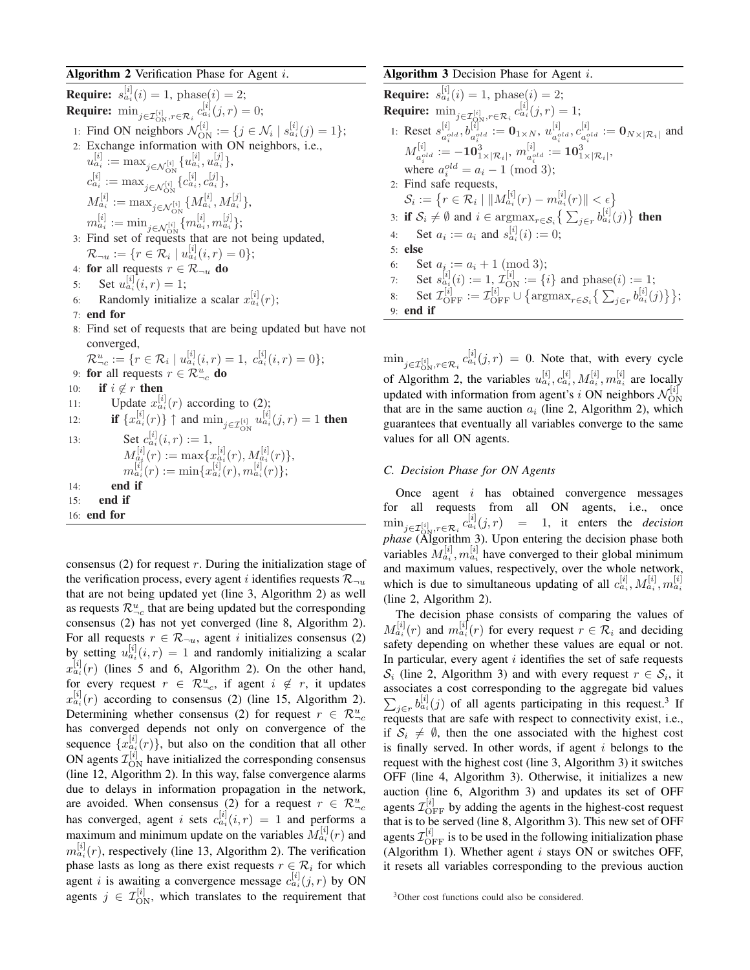# Algorithm 2 Verification Phase for Agent i.

**Require:**  $s_{a_i}^{[i]}(i) = 1$ , phase $(i) = 2$ ; **Require:**  $\min_{j \in \mathcal{I}_{\text{ON}}^{[i]}, r \in \mathcal{R}_i} c_{a_i}^{[i]}(j, r) = 0;$ 1: Find ON neighbors  $\mathcal{N}_{\text{ON}}^{[i]} := \{j \in \mathcal{N}_i \mid s_{a_i}^{[i]}(j) = 1\};$ 2: Exchange information with ON neighbors, i.e.,  $u_{a_i}^{[i]} := \max_{j \in \mathcal{N}_{\text{ON}}^{[i]}}\{u_{a_i}^{[i]}, u_{a_i}^{[j]}\},$  $c_{a_i}^{[i]} := \max_{j \in \mathcal{N}_{\text{ON}}^{[i]}} \{ c_{a_i}^{[i]}, c_{a_i}^{[j]} \},$  $M_{a_i}^{[i]} := \max_{j \in \mathcal{N}_{\text{ON}}^{[i]}}\{M_{a_i}^{[i]}, M_{a_i}^{[j]}\},$  $m_{a_i}^{[i]} := \min_{j \in \mathcal{N}_{\text{ON}}^{[i]}}\{m_{a_i}^{[i]}, m_{a_i}^{[j]}\};$ 3: Find set of requests that are not being updated,  $\mathcal{R}_{\neg u} := \{r \in \mathcal{R}_i \; | \; u_{a_i}^{[i]}(i,r) = 0\};$ 4: for all requests  $r \in \mathcal{R}_{\neg u}$  do 5: Set  $u_{a_i}^{[i]}(i, r) = 1$ ; 6: Randomly initialize a scalar  $x_{a_i}^{[i]}(r)$ ; 7: end for 8: Find set of requests that are being updated but have not converged,  $\mathcal{R}^u_{\neg c} := \{r \in \mathcal{R}_i \mid u_{a_i}^{[i]}(i,r) = 1, \ c_{a_i}^{[i]}(i,r) = 0\};$ 9: for all requests  $r \in \mathcal{R}_{\neg c}^u$  do 10: if  $i \notin r$  then 11: Update  $x_{a_i}^{[i]}(r)$  according to (2); 12: **if**  $\{x_{a_i}^{[i]}(r)\}\uparrow$  and  $\min_{j\in\mathcal{I}_{ON}^{[i]}} u_{a_i}^{[i]}(j,r) = 1$  then 13: Set  $c_{a_i}^{[i]}(i, r) := 1$ ,  $M_{a_i}^{[i]}(r) := \max\{x_{a_i}^{[i]}(r),M_{a_i}^{[i]}(r)\},$  $m_{a_i}^{[i]}(r) := \min\{x_{a_i}^{[i]}(r), m_{a_i}^{[i]}(r)\};$ 14: end if 15: end if 16: end for

consensus  $(2)$  for request r. During the initialization stage of the verification process, every agent *i* identifies requests  $\mathcal{R}_{\neg u}$ that are not being updated yet (line 3, Algorithm 2) as well as requests  $\mathcal{R}_{\neg c}^u$  that are being updated but the corresponding consensus (2) has not yet converged (line 8, Algorithm 2). For all requests  $r \in \mathcal{R}_{\neg u}$ , agent *i* initializes consensus (2) by setting  $u_{a_i}^{[i]}(i, r) = 1$  and randomly initializing a scalar  $x_{a_i}^{[i]}(r)$  (lines 5 and 6, Algorithm 2). On the other hand, for every request  $r \in \mathcal{R}_{\neg c}^u$ , if agent  $i \notin r$ , it updates  $x_{a_i}^{[i]}(r)$  according to consensus (2) (line 15, Algorithm 2). Determining whether consensus (2) for request  $r \in \mathcal{R}_{\neg c}^u$ has converged depends not only on convergence of the sequence  $\{x_{a_i}^{[i]}(r)\}\$ , but also on the condition that all other ON agents  $\mathcal{I}_{\text{ON}}^{[i]}$  have initialized the corresponding consensus (line 12, Algorithm 2). In this way, false convergence alarms due to delays in information propagation in the network, are avoided. When consensus (2) for a request  $r \in \mathcal{R}_{\neg c}^u$ has converged, agent i sets  $c_{a_i}^{[i]}(i, r) = 1$  and performs a maximum and minimum update on the variables  $M_{a_i}^{[i]}(r)$  and  $m_{a_i}^{[i]}(r)$ , respectively (line 13, Algorithm 2). The verification phase lasts as long as there exist requests  $r \in \mathcal{R}_i$  for which agent i is awaiting a convergence message  $c_{a_i}^{[i]}(j,r)$  by ON agents  $j \in \mathcal{I}_{\text{ON}}^{[i]}$ , which translates to the requirement that

# Algorithm 3 Decision Phase for Agent  $i$ .

**Require:**  $s_{a_i}^{[i]}(i) = 1$ , phase $(i) = 2$ ; **Require:**  $\min_{j \in \mathcal{I}_{\text{QN}}^{[i]}, r \in \mathcal{R}_i} c_{a_i}^{[i]}(j, r) = 1;$ 1: Reset  $s_{-a}^{[i]}$  $[a_{a}^{\circ}_{i}a,b_{a_{i}^{\circ}^{i}d}^{[i]}:=\textbf{0}_{1\times N},\,u_{a_{i}^{\circ}}^{[i]}$  $[a]_a^{\circ l}$ <sub>a</sub> $_c^{[i]}$  $a_i^{\scriptscriptstyle{[l]}}:=\boldsymbol{0}_{N\times|\mathcal{R}_i|}$  and  $M^{[i]}_{\sigma^o}$  $\hat{a}^{[i]}_{a^{old}_i} := -\textbf{10}^3_{1\times |\mathcal{R}_i|}, \, m^{[i]}_{a^{o}_i}$  $_{a_i^{old}}^{[i]}:=10_{1\times|\mathcal{R}_i|}^3,$ where  $a_i^{old} = a_i - 1 \pmod{3}$ ; 2: Find safe requests, Find sate requests,<br>  $S_i := \{ r \in \mathcal{R}_i \mid ||M_{a_i}^{[i]}(r) - m_{a_i}^{[i]}(r)|| < \epsilon \}$ 3: if  $\mathcal{S}_i \neq \emptyset$  and  $i \in \text{argmax}_{r \in \mathcal{S}_i}$  $\frac{a_i}{\sqrt{2}}$  $\sum_{j\in r} b^{[i]}_{a_i}(j)$ ª then 4: Set  $a_i := a_i$  and  $s_{a_i}^{[i]}(i) := 0;$ 5: else 6: Set  $a_i := a_i + 1 \pmod{3};$ 7: Set  $s_{a_i}^{[i]}(i) := 1$ ,  $\mathcal{I}_{\text{ON}}^{[i]} := \{i\}$  and  $\text{phase}(i) := 1$ ; 8: Set  $\mathcal{I}_{\text{OFF}}^{[i]} := \mathcal{I}_{\text{OFF}}^{[i]} \cup$ ©  $\arg\max_{r\in\mathcal{S}_i}$  $\sum_{\infty}$  $\{u_j \cdot \sum_{j \in r} 1, b_{a_i}^{[i]}(j)\}\};$ 9: end if

 $\min_{j \in \mathcal{I}_{\text{ON}}^{[i]}, r \in \mathcal{R}_i} c_{a_i}^{[i]}(j, r) = 0$ . Note that, with every cycle of Algorithm 2, the variables  $u_{a_i}^{[i]}, c_{a_i}^{[i]}, M_{a_i}^{[i]}, m_{a_i}^{[i]}$  are locally updated with information from agent's i ON neighbors  $\mathcal{N}_{\text{ON}}^{[i]}$ ON that are in the same auction  $a_i$  (line 2, Algorithm 2), which guarantees that eventually all variables converge to the same values for all ON agents.

### *C. Decision Phase for ON Agents*

Once agent i has obtained convergence messages for all requests from all ON agents, i.e., once  $\min_{j \in \mathcal{I}_{\text{ON}}^{[i]}, r \in \mathcal{R}_i} c_{a_i}^{[i]}(j, r) = 1$ , it enters the *decision phase* (Algorithm 3). Upon entering the decision phase both variables  $M_{a_i}^{[i]}, m_{a_i}^{[i]}$  have converged to their global minimum and maximum values, respectively, over the whole network, which is due to simultaneous updating of all  $c_{a_i}^{[i]}, M_{a_i}^{[i]}, m_{a_i}^{[i]}$ (line 2, Algorithm 2).

The decision phase consists of comparing the values of  $M_{a_i}^{[i]}(r)$  and  $m_{a_i}^{[i]}(r)$  for every request  $r \in \mathcal{R}_i$  and deciding safety depending on whether these values are equal or not. In particular, every agent  $i$  identifies the set of safe requests  $S_i$  (line 2, Algorithm 3) and with every request  $r \in S_i$ , it associates a cost corresponding to the aggregate bid values  $j \in r^{i}$   $b_{a_i}^{[i]}(j)$  of all agents participating in this request.<sup>3</sup> If requests that are safe with respect to connectivity exist, i.e., if  $S_i \neq \emptyset$ , then the one associated with the highest cost is finally served. In other words, if agent  $i$  belongs to the request with the highest cost (line 3, Algorithm 3) it switches OFF (line 4, Algorithm 3). Otherwise, it initializes a new auction (line 6, Algorithm 3) and updates its set of OFF agents  $\mathcal{I}_{\rm OFF}^{[i]}$  by adding the agents in the highest-cost request that is to be served (line 8, Algorithm 3). This new set of OFF agents  $\mathcal{I}_{\rm OFF}^{[i]}$  is to be used in the following initialization phase (Algorithm 1). Whether agent  $i$  stays ON or switches OFF, it resets all variables corresponding to the previous auction

<sup>3</sup>Other cost functions could also be considered.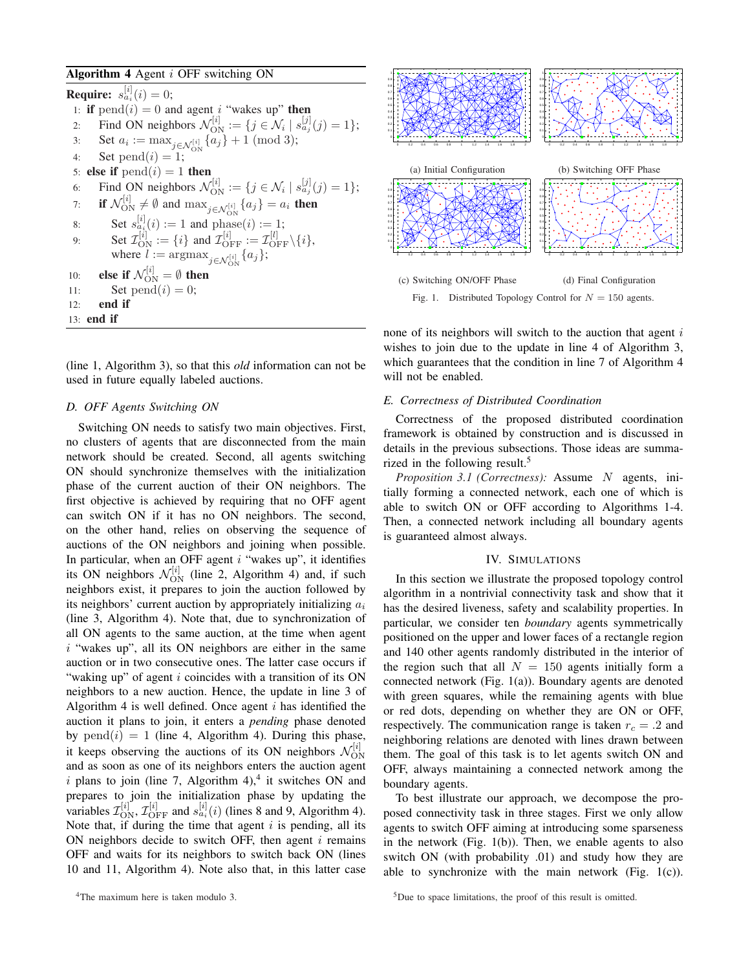# Algorithm 4 Agent  $i$  OFF switching ON

**Require:**  $s_{a_i}^{[i]}(i) = 0;$ 1: if  $pend(i) = 0$  and agent i "wakes up" then 2: Find ON neighbors  $\mathcal{N}_{\text{ON}}^{[i]} := \{j \in \mathcal{N}_i \mid s_{a_j}^{[j]}(j) = 1\};$ 3: Set  $a_i := \max_{j \in \mathcal{N}_{\text{ON}}^{[i]}} \{a_j\} + 1 \text{ (mod 3)}$ ; 4: Set pend $(i) = 1$ ; 5: **else if**  $\text{pend}(i) = 1$  **then** 6: Find ON neighbors  $\mathcal{N}_{\text{ON}}^{[i]} := \{j \in \mathcal{N}_i \mid s_{a_j}^{[j]}(j) = 1\};$ 7: if  $\mathcal{N}_{\text{ON}}^{[i]} \neq \emptyset$  and  $\max_{j \in \mathcal{N}_{\text{ON}}^{[i]}} \{a_j\} = a_i$  then 8: Set  $s_{a_i}^{[i]}(i) := 1$  and  $\text{phase}(i) := 1;$ 9: Set  $\mathcal{I}_{\text{ON}}^{[i]} := \{i\}$  and  $\mathcal{I}_{\text{OFF}}^{[i]} := \mathcal{I}_{\text{OFF}}^{[l]} \setminus \{i\},$ where  $l := \operatorname{argmax}_{j \in \mathcal{N}_{\text{ON}}^{[i]}} \{a_j\};$ 10: **else if**  $\mathcal{N}_{\text{ON}}^{[i]} = \emptyset$  then 11: Set  $pend(i)=0;$ 12: end if 13: end if

(line 1, Algorithm 3), so that this *old* information can not be used in future equally labeled auctions.

### *D. OFF Agents Switching ON*

Switching ON needs to satisfy two main objectives. First, no clusters of agents that are disconnected from the main network should be created. Second, all agents switching ON should synchronize themselves with the initialization phase of the current auction of their ON neighbors. The first objective is achieved by requiring that no OFF agent can switch ON if it has no ON neighbors. The second, on the other hand, relies on observing the sequence of auctions of the ON neighbors and joining when possible. In particular, when an OFF agent  $i$  "wakes up", it identifies its ON neighbors  $\mathcal{N}_{\text{ON}}^{[i]}$  (line 2, Algorithm 4) and, if such neighbors exist, it prepares to join the auction followed by its neighbors' current auction by appropriately initializing  $a_i$ (line 3, Algorithm 4). Note that, due to synchronization of all ON agents to the same auction, at the time when agent i "wakes up", all its ON neighbors are either in the same auction or in two consecutive ones. The latter case occurs if "waking up" of agent *i* coincides with a transition of its ON neighbors to a new auction. Hence, the update in line 3 of Algorithm 4 is well defined. Once agent  $i$  has identified the auction it plans to join, it enters a *pending* phase denoted by  $pend(i) = 1$  (line 4, Algorithm 4). During this phase, it keeps observing the auctions of its ON neighbors  $\mathcal{N}_{\text{OP}}^{[i]}$ ON and as soon as one of its neighbors enters the auction agent i plans to join (line 7, Algorithm 4),<sup>4</sup> it switches ON and prepares to join the initialization phase by updating the variables  $\mathcal{I}_{\text{ON}}^{[i]}$ ,  $\mathcal{I}_{\text{OFF}}^{[i]}$  and  $s_{a_i}^{[i]}(i)$  (lines 8 and 9, Algorithm 4). Note that, if during the time that agent  $i$  is pending, all its ON neighbors decide to switch OFF, then agent  $i$  remains OFF and waits for its neighbors to switch back ON (lines 10 and 11, Algorithm 4). Note also that, in this latter case





Fig. 1. Distributed Topology Control for  $N = 150$  agents.

none of its neighbors will switch to the auction that agent  $i$ wishes to join due to the update in line 4 of Algorithm 3, which guarantees that the condition in line 7 of Algorithm 4 will not be enabled.

#### *E. Correctness of Distributed Coordination*

Correctness of the proposed distributed coordination framework is obtained by construction and is discussed in details in the previous subsections. Those ideas are summarized in the following result.<sup>5</sup>

*Proposition 3.1 (Correctness):* Assume N agents, initially forming a connected network, each one of which is able to switch ON or OFF according to Algorithms 1-4. Then, a connected network including all boundary agents is guaranteed almost always.

#### IV. SIMULATIONS

In this section we illustrate the proposed topology control algorithm in a nontrivial connectivity task and show that it has the desired liveness, safety and scalability properties. In particular, we consider ten *boundary* agents symmetrically positioned on the upper and lower faces of a rectangle region and 140 other agents randomly distributed in the interior of the region such that all  $N = 150$  agents initially form a connected network (Fig. 1(a)). Boundary agents are denoted with green squares, while the remaining agents with blue or red dots, depending on whether they are ON or OFF, respectively. The communication range is taken  $r_c = .2$  and neighboring relations are denoted with lines drawn between them. The goal of this task is to let agents switch ON and OFF, always maintaining a connected network among the boundary agents.

To best illustrate our approach, we decompose the proposed connectivity task in three stages. First we only allow agents to switch OFF aiming at introducing some sparseness in the network (Fig.  $1(b)$ ). Then, we enable agents to also switch ON (with probability .01) and study how they are able to synchronize with the main network (Fig.  $1(c)$ ).

<sup>5</sup>Due to space limitations, the proof of this result is omitted.